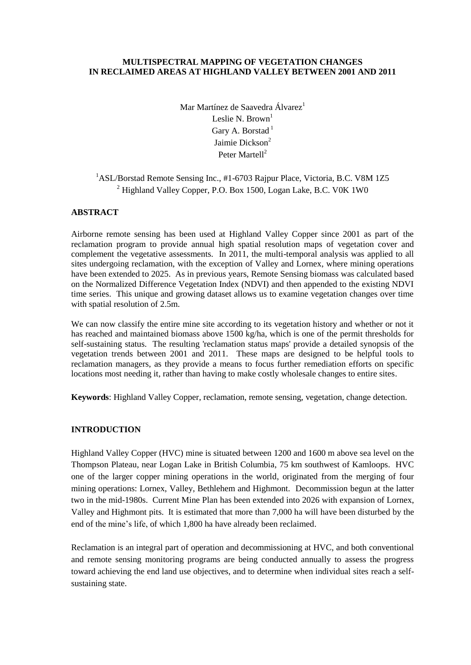#### **MULTISPECTRAL MAPPING OF VEGETATION CHANGES IN RECLAIMED AREAS AT HIGHLAND VALLEY BETWEEN 2001 AND 2011**

Mar Martínez de Saavedra Álvarez<sup>1</sup> Leslie N. Brown<sup>1</sup> Gary A. Borstad $<sup>1</sup>$ </sup> Jaimie Dickson<sup>2</sup> Peter Martell<sup>2</sup>

# <sup>1</sup>ASL/Borstad Remote Sensing Inc., #1-6703 Rajpur Place, Victoria, B.C. V8M 1Z5 <sup>2</sup> Highland Valley Copper, P.O. Box 1500, Logan Lake, B.C. V0K 1W0

## **ABSTRACT**

Airborne remote sensing has been used at Highland Valley Copper since 2001 as part of the reclamation program to provide annual high spatial resolution maps of vegetation cover and complement the vegetative assessments. In 2011, the multi-temporal analysis was applied to all sites undergoing reclamation, with the exception of Valley and Lornex, where mining operations have been extended to 2025. As in previous years, Remote Sensing biomass was calculated based on the Normalized Difference Vegetation Index (NDVI) and then appended to the existing NDVI time series. This unique and growing dataset allows us to examine vegetation changes over time with spatial resolution of 2.5m.

We can now classify the entire mine site according to its vegetation history and whether or not it has reached and maintained biomass above 1500 kg/ha, which is one of the permit thresholds for self-sustaining status. The resulting 'reclamation status maps' provide a detailed synopsis of the vegetation trends between 2001 and 2011. These maps are designed to be helpful tools to reclamation managers, as they provide a means to focus further remediation efforts on specific locations most needing it, rather than having to make costly wholesale changes to entire sites.

**Keywords**: Highland Valley Copper, reclamation, remote sensing, vegetation, change detection.

## **INTRODUCTION**

Highland Valley Copper (HVC) mine is situated between 1200 and 1600 m above sea level on the Thompson Plateau, near Logan Lake in British Columbia, 75 km southwest of Kamloops. HVC one of the larger copper mining operations in the world, originated from the merging of four mining operations: Lornex, Valley, Bethlehem and Highmont. Decommission begun at the latter two in the mid-1980s. Current Mine Plan has been extended into 2026 with expansion of Lornex, Valley and Highmont pits. It is estimated that more than 7,000 ha will have been disturbed by the end of the mine's life, of which 1,800 ha have already been reclaimed.

Reclamation is an integral part of operation and decommissioning at HVC, and both conventional and remote sensing monitoring programs are being conducted annually to assess the progress toward achieving the end land use objectives, and to determine when individual sites reach a selfsustaining state.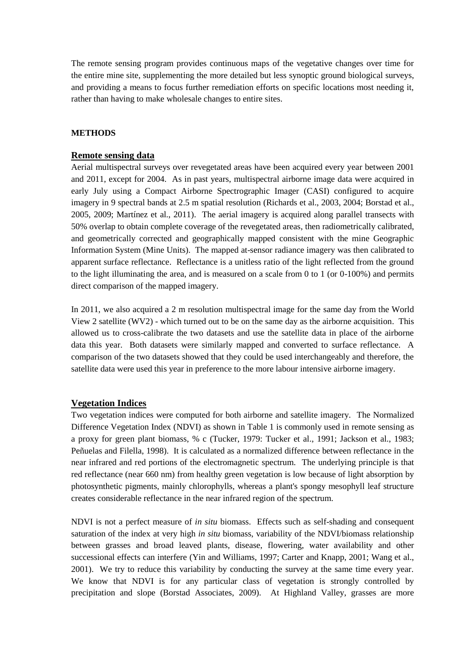The remote sensing program provides continuous maps of the vegetative changes over time for the entire mine site, supplementing the more detailed but less synoptic ground biological surveys, and providing a means to focus further remediation efforts on specific locations most needing it, rather than having to make wholesale changes to entire sites.

### **METHODS**

## **Remote sensing data**

Aerial multispectral surveys over revegetated areas have been acquired every year between 2001 and 2011, except for 2004. As in past years, multispectral airborne image data were acquired in early July using a Compact Airborne Spectrographic Imager (CASI) configured to acquire imagery in 9 spectral bands at 2.5 m spatial resolution (Richards et al., 2003, 2004; Borstad et al., 2005, 2009; Martínez et al., 2011). The aerial imagery is acquired along parallel transects with 50% overlap to obtain complete coverage of the revegetated areas, then radiometrically calibrated, and geometrically corrected and geographically mapped consistent with the mine Geographic Information System (Mine Units). The mapped at-sensor radiance imagery was then calibrated to apparent surface reflectance. Reflectance is a unitless ratio of the light reflected from the ground to the light illuminating the area, and is measured on a scale from 0 to 1 (or 0-100%) and permits direct comparison of the mapped imagery.

In 2011, we also acquired a 2 m resolution multispectral image for the same day from the World View 2 satellite (WV2) - which turned out to be on the same day as the airborne acquisition. This allowed us to cross-calibrate the two datasets and use the satellite data in place of the airborne data this year. Both datasets were similarly mapped and converted to surface reflectance. A comparison of the two datasets showed that they could be used interchangeably and therefore, the satellite data were used this year in preference to the more labour intensive airborne imagery.

### **Vegetation Indices**

Two vegetation indices were computed for both airborne and satellite imagery. The Normalized Difference Vegetation Index (NDVI) as shown in Table 1 is commonly used in remote sensing as a proxy for green plant biomass, % c (Tucker, 1979: Tucker et al., 1991; Jackson et al., 1983; Peñuelas and Filella, 1998). It is calculated as a normalized difference between reflectance in the near infrared and red portions of the electromagnetic spectrum. The underlying principle is that red reflectance (near 660 nm) from healthy green vegetation is low because of light absorption by photosynthetic pigments, mainly chlorophylls, whereas a plant's spongy mesophyll leaf structure creates considerable reflectance in the near infrared region of the spectrum.

NDVI is not a perfect measure of *in situ* biomass. Effects such as self-shading and consequent saturation of the index at very high *in situ* biomass, variability of the NDVI/biomass relationship between grasses and broad leaved plants, disease, flowering, water availability and other successional effects can interfere (Yin and Williams, 1997; Carter and Knapp, 2001; Wang et al., 2001). We try to reduce this variability by conducting the survey at the same time every year. We know that NDVI is for any particular class of vegetation is strongly controlled by precipitation and slope (Borstad Associates, 2009). At Highland Valley, grasses are more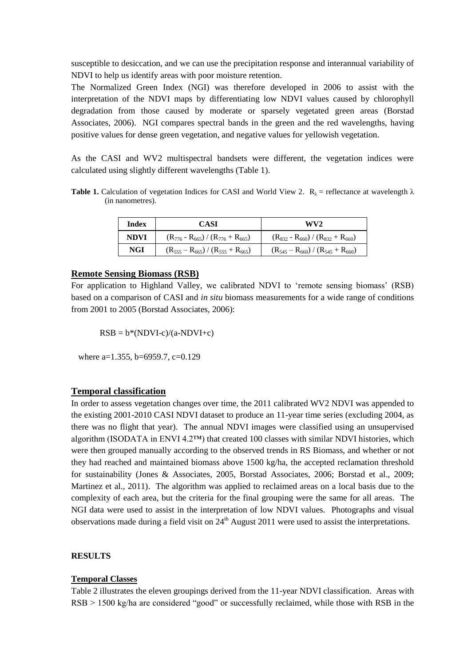susceptible to desiccation, and we can use the precipitation response and interannual variability of NDVI to help us identify areas with poor moisture retention.

The Normalized Green Index (NGI) was therefore developed in 2006 to assist with the interpretation of the NDVI maps by differentiating low NDVI values caused by chlorophyll degradation from those caused by moderate or sparsely vegetated green areas (Borstad Associates, 2006). NGI compares spectral bands in the green and the red wavelengths, having positive values for dense green vegetation, and negative values for yellowish vegetation.

As the CASI and WV2 multispectral bandsets were different, the vegetation indices were calculated using slightly different wavelengths (Table 1).

**Table 1.** Calculation of vegetation Indices for CASI and World View 2.  $R_{\lambda}$  = reflectance at wavelength  $\lambda$ (in nanometres).

| Index | CASI                                        | WV2                                         |  |  |  |  |
|-------|---------------------------------------------|---------------------------------------------|--|--|--|--|
| NDVI  | $(R_{776} - R_{665}) / (R_{776} + R_{665})$ | $(R_{832} - R_{660}) / (R_{832} + R_{660})$ |  |  |  |  |
| NGI   | $(R_{555} - R_{665}) / (R_{555} + R_{665})$ | $(R_{545} - R_{660}) / (R_{545} + R_{660})$ |  |  |  |  |

### **Remote Sensing Biomass (RSB)**

For application to Highland Valley, we calibrated NDVI to 'remote sensing biomass' (RSB) based on a comparison of CASI and *in situ* biomass measurements for a wide range of conditions from 2001 to 2005 (Borstad Associates, 2006):

$$
RSB = b*(NDVI-c)/(a-NDVI+c)
$$

where a=1.355, b=6959.7, c=0.129

### **Temporal classification**

In order to assess vegetation changes over time, the 2011 calibrated WV2 NDVI was appended to the existing 2001-2010 CASI NDVI dataset to produce an 11-year time series (excluding 2004, as there was no flight that year). The annual NDVI images were classified using an unsupervised algorithm (ISODATA in ENVI  $4.2<sup>TM</sup>$ ) that created 100 classes with similar NDVI histories, which were then grouped manually according to the observed trends in RS Biomass, and whether or not they had reached and maintained biomass above 1500 kg/ha, the accepted reclamation threshold for sustainability (Jones & Associates, 2005, Borstad Associates, 2006; Borstad et al., 2009; Martinez et al., 2011). The algorithm was applied to reclaimed areas on a local basis due to the complexity of each area, but the criteria for the final grouping were the same for all areas. The NGI data were used to assist in the interpretation of low NDVI values. Photographs and visual observations made during a field visit on 24<sup>th</sup> August 2011 were used to assist the interpretations.

#### **RESULTS**

#### **Temporal Classes**

Table 2 illustrates the eleven groupings derived from the 11-year NDVI classification. Areas with RSB > 1500 kg/ha are considered "good" or successfully reclaimed, while those with RSB in the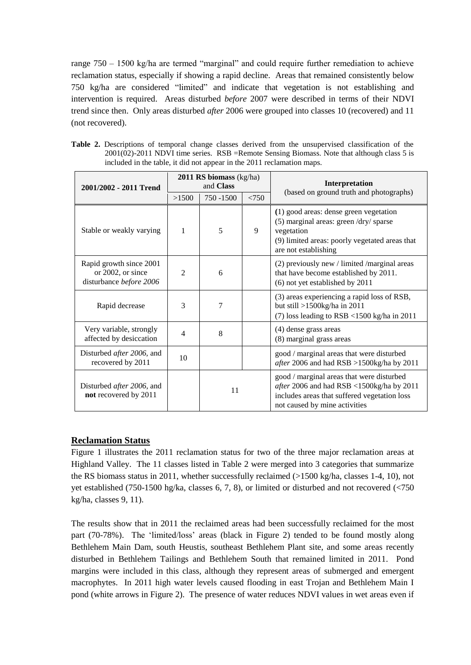range 750 – 1500 kg/ha are termed "marginal" and could require further remediation to achieve reclamation status, especially if showing a rapid decline. Areas that remained consistently below 750 kg/ha are considered "limited" and indicate that vegetation is not establishing and intervention is required. Areas disturbed *before* 2007 were described in terms of their NDVI trend since then. Only areas disturbed *after* 2006 were grouped into classes 10 (recovered) and 11 (not recovered).

|  | Table 2. Descriptions of temporal change classes derived from the unsupervised classification of the |
|--|------------------------------------------------------------------------------------------------------|
|  | $2001(02)$ -2011 NDVI time series. RSB = Remote Sensing Biomass. Note that although class 5 is       |
|  | included in the table, it did not appear in the 2011 reclamation maps.                               |

| 2001/2002 - 2011 Trend                                                  |                | $2011$ RS biomass (kg/ha)<br>and Class |       | Interpretation<br>(based on ground truth and photographs)                                                                                                                |  |  |  |
|-------------------------------------------------------------------------|----------------|----------------------------------------|-------|--------------------------------------------------------------------------------------------------------------------------------------------------------------------------|--|--|--|
|                                                                         | >1500          | 750 - 1500                             | < 750 |                                                                                                                                                                          |  |  |  |
| Stable or weakly varying                                                | 1              | 5                                      | 9     | (1) good areas: dense green vegetation<br>(5) marginal areas: green /dry/ sparse<br>vegetation<br>(9) limited areas: poorly vegetated areas that<br>are not establishing |  |  |  |
| Rapid growth since 2001<br>or 2002, or since<br>disturbance before 2006 | $\mathfrak{D}$ | 6                                      |       | $(2)$ previously new / limited /marginal areas<br>that have become established by 2011.<br>(6) not yet established by 2011                                               |  |  |  |
| Rapid decrease                                                          | 3              | 7                                      |       | (3) areas experiencing a rapid loss of RSB,<br>but still $>1500$ kg/ha in 2011<br>(7) loss leading to $RSB < 1500$ kg/ha in 2011                                         |  |  |  |
| Very variable, strongly<br>affected by desiccation                      | 4              | 8                                      |       | (4) dense grass areas<br>(8) marginal grass areas                                                                                                                        |  |  |  |
| Disturbed <i>after</i> 2006, and<br>recovered by 2011                   | 10             |                                        |       | good / marginal areas that were disturbed<br>after 2006 and had RSB >1500kg/ha by 2011                                                                                   |  |  |  |
| Disturbed <i>after</i> 2006, and<br>not recovered by 2011               |                | 11                                     |       | good / marginal areas that were disturbed<br>after 2006 and had RSB <1500kg/ha by 2011<br>includes areas that suffered vegetation loss<br>not caused by mine activities  |  |  |  |

## **Reclamation Status**

Figure 1 illustrates the 2011 reclamation status for two of the three major reclamation areas at Highland Valley. The 11 classes listed in Table 2 were merged into 3 categories that summarize the RS biomass status in 2011, whether successfully reclaimed (>1500 kg/ha, classes 1-4, 10), not yet established (750-1500 hg/ka, classes 6, 7, 8), or limited or disturbed and not recovered (<750 kg/ha, classes 9, 11).

The results show that in 2011 the reclaimed areas had been successfully reclaimed for the most part (70-78%). The 'limited/loss' areas (black in Figure 2) tended to be found mostly along Bethlehem Main Dam, south Heustis, southeast Bethlehem Plant site, and some areas recently disturbed in Bethlehem Tailings and Bethlehem South that remained limited in 2011. Pond margins were included in this class, although they represent areas of submerged and emergent macrophytes. In 2011 high water levels caused flooding in east Trojan and Bethlehem Main I pond (white arrows in Figure 2). The presence of water reduces NDVI values in wet areas even if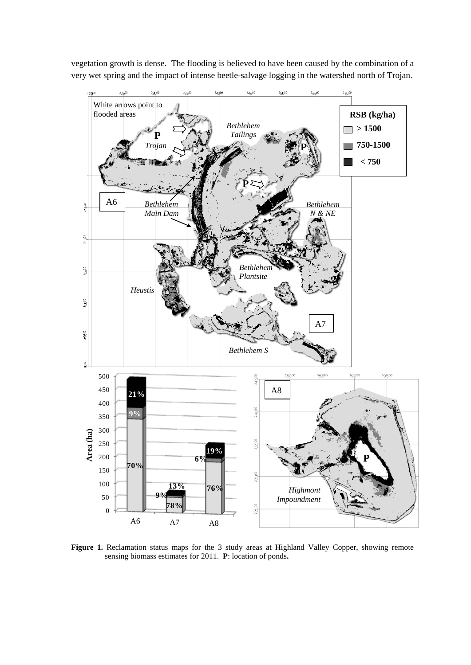vegetation growth is dense. The flooding is believed to have been caused by the combination of a very wet spring and the impact of intense beetle-salvage logging in the watershed north of Trojan.



Figure 1. Reclamation status maps for the 3 study areas at Highland Valley Copper, showing remote sensing biomass estimates for 2011. **P**: location of ponds**.**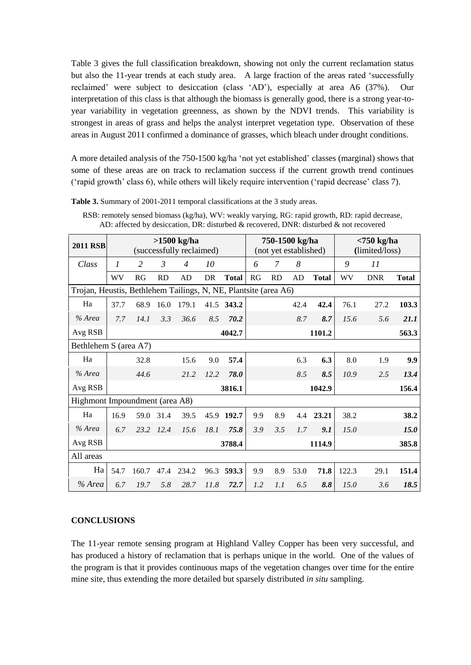Table 3 gives the full classification breakdown, showing not only the current reclamation status but also the 11-year trends at each study area. A large fraction of the areas rated 'successfully reclaimed' were subject to desiccation (class 'AD'), especially at area A6 (37%). Our interpretation of this class is that although the biomass is generally good, there is a strong year-toyear variability in vegetation greenness, as shown by the NDVI trends. This variability is strongest in areas of grass and helps the analyst interpret vegetation type. Observation of these areas in August 2011 confirmed a dominance of grasses, which bleach under drought conditions.

A more detailed analysis of the 750-1500 kg/ha 'not yet established' classes (marginal) shows that some of these areas are on track to reclamation success if the current growth trend continues ('rapid growth' class 6), while others will likely require intervention ('rapid decrease' class 7).

| <b>2011 RSB</b>                                                 | $>1500$ kg/ha<br>(successfully reclaimed) |       |                |                |           | 750-1500 kg/ha<br>(not yet established) |     |           |      | $< 750$ kg/ha<br>(limited/loss) |       |            |              |
|-----------------------------------------------------------------|-------------------------------------------|-------|----------------|----------------|-----------|-----------------------------------------|-----|-----------|------|---------------------------------|-------|------------|--------------|
| Class                                                           | 1                                         | 2     | $\mathfrak{Z}$ | $\overline{4}$ | 10        |                                         | 6   | 7         | 8    |                                 | 9     | 11         |              |
|                                                                 | WV                                        | RG    | <b>RD</b>      | AD             | <b>DR</b> | <b>Total</b>                            | RG  | <b>RD</b> | AD   | <b>Total</b>                    | WV    | <b>DNR</b> | <b>Total</b> |
| Trojan, Heustis, Bethlehem Tailings, N, NE, Plantsite (area A6) |                                           |       |                |                |           |                                         |     |           |      |                                 |       |            |              |
| Ha                                                              | 37.7                                      | 68.9  | 16.0           | 179.1          | 41.5      | 343.2                                   |     |           | 42.4 | 42.4                            | 76.1  | 27.2       | 103.3        |
| % Area                                                          | 7.7                                       | 14.1  | 3.3            | 36.6           | 8.5       | 70.2                                    |     |           | 8.7  | 8.7                             | 15.6  | 5.6        | 21.1         |
| Avg RSB                                                         |                                           |       |                |                |           | 4042.7                                  |     |           |      | 1101.2                          |       |            | 563.3        |
| Bethlehem S (area A7)                                           |                                           |       |                |                |           |                                         |     |           |      |                                 |       |            |              |
| Ha                                                              |                                           | 32.8  |                | 15.6           | 9.0       | 57.4                                    |     |           | 6.3  | 6.3                             | 8.0   | 1.9        | 9.9          |
| % Area                                                          |                                           | 44.6  |                | 21.2           | 12.2      | 78.0                                    |     |           | 8.5  | 8.5                             | 10.9  | 2.5        | 13.4         |
| Avg RSB                                                         |                                           |       |                |                |           | 3816.1                                  |     | 1042.9    |      |                                 |       |            | 156.4        |
| Highmont Impoundment (area A8)                                  |                                           |       |                |                |           |                                         |     |           |      |                                 |       |            |              |
| Ha                                                              | 16.9                                      | 59.0  | 31.4           | 39.5           | 45.9      | 192.7                                   | 9.9 | 8.9       | 4.4  | 23.21                           | 38.2  |            | 38.2         |
| % Area                                                          | 6.7                                       | 23.2  | 12.4           | 15.6           | 18.1      | 75.8                                    | 3.9 | 3.5       | 1.7  | 9.1                             | 15.0  |            | <i>15.0</i>  |
| Avg RSB                                                         |                                           |       |                |                |           | 3788.4                                  |     |           |      | 1114.9                          |       |            | 385.8        |
| All areas                                                       |                                           |       |                |                |           |                                         |     |           |      |                                 |       |            |              |
| Ha                                                              | 54.7                                      | 160.7 | 47.4           | 234.2          | 96.3      | 593.3                                   | 9.9 | 8.9       | 53.0 | 71.8                            | 122.3 | 29.1       | 151.4        |
| % Area                                                          | 6.7                                       | 19.7  | 5.8            | 28.7           | 11.8      | 72.7                                    | 1.2 | 1.1       | 6.5  | 8.8                             | 15.0  | 3.6        | 18.5         |

RSB: remotely sensed biomass (kg/ha), WV: weakly varying, RG: rapid growth, RD: rapid decrease, AD: affected by desiccation, DR: disturbed & recovered, DNR: disturbed & not recovered

### **CONCLUSIONS**

The 11-year remote sensing program at Highland Valley Copper has been very successful, and has produced a history of reclamation that is perhaps unique in the world. One of the values of the program is that it provides continuous maps of the vegetation changes over time for the entire mine site, thus extending the more detailed but sparsely distributed *in situ* sampling.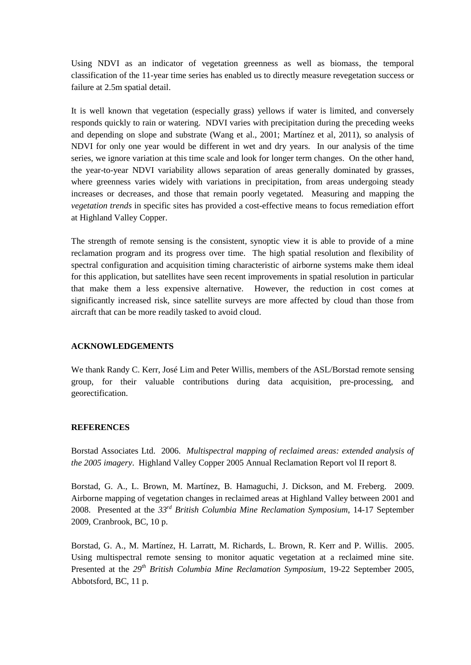Using NDVI as an indicator of vegetation greenness as well as biomass, the temporal classification of the 11-year time series has enabled us to directly measure revegetation success or failure at 2.5m spatial detail.

It is well known that vegetation (especially grass) yellows if water is limited, and conversely responds quickly to rain or watering. NDVI varies with precipitation during the preceding weeks and depending on slope and substrate (Wang et al., 2001; Martínez et al, 2011), so analysis of NDVI for only one year would be different in wet and dry years. In our analysis of the time series, we ignore variation at this time scale and look for longer term changes. On the other hand, the year-to-year NDVI variability allows separation of areas generally dominated by grasses, where greenness varies widely with variations in precipitation, from areas undergoing steady increases or decreases, and those that remain poorly vegetated. Measuring and mapping the *vegetation trends* in specific sites has provided a cost-effective means to focus remediation effort at Highland Valley Copper.

The strength of remote sensing is the consistent, synoptic view it is able to provide of a mine reclamation program and its progress over time. The high spatial resolution and flexibility of spectral configuration and acquisition timing characteristic of airborne systems make them ideal for this application, but satellites have seen recent improvements in spatial resolution in particular that make them a less expensive alternative. However, the reduction in cost comes at significantly increased risk, since satellite surveys are more affected by cloud than those from aircraft that can be more readily tasked to avoid cloud.

#### **ACKNOWLEDGEMENTS**

We thank Randy C. Kerr, José Lim and Peter Willis, members of the ASL/Borstad remote sensing group, for their valuable contributions during data acquisition, pre-processing, and georectification.

#### **REFERENCES**

Borstad Associates Ltd. 2006. *Multispectral mapping of reclaimed areas: extended analysis of the 2005 imagery*. Highland Valley Copper 2005 Annual Reclamation Report vol II report 8.

Borstad, G. A., L. Brown, M. Martínez, B. Hamaguchi, J. Dickson, and M. Freberg. 2009. Airborne mapping of vegetation changes in reclaimed areas at Highland Valley between 2001 and 2008. Presented at the *33rd British Columbia Mine Reclamation Symposium*, 14-17 September 2009, Cranbrook, BC, 10 p.

Borstad, G. A., M. Martínez, H. Larratt, M. Richards, L. Brown, R. Kerr and P. Willis. 2005. Using multispectral remote sensing to monitor aquatic vegetation at a reclaimed mine site. Presented at the *29th British Columbia Mine Reclamation Symposium*, 19-22 September 2005, Abbotsford, BC, 11 p.